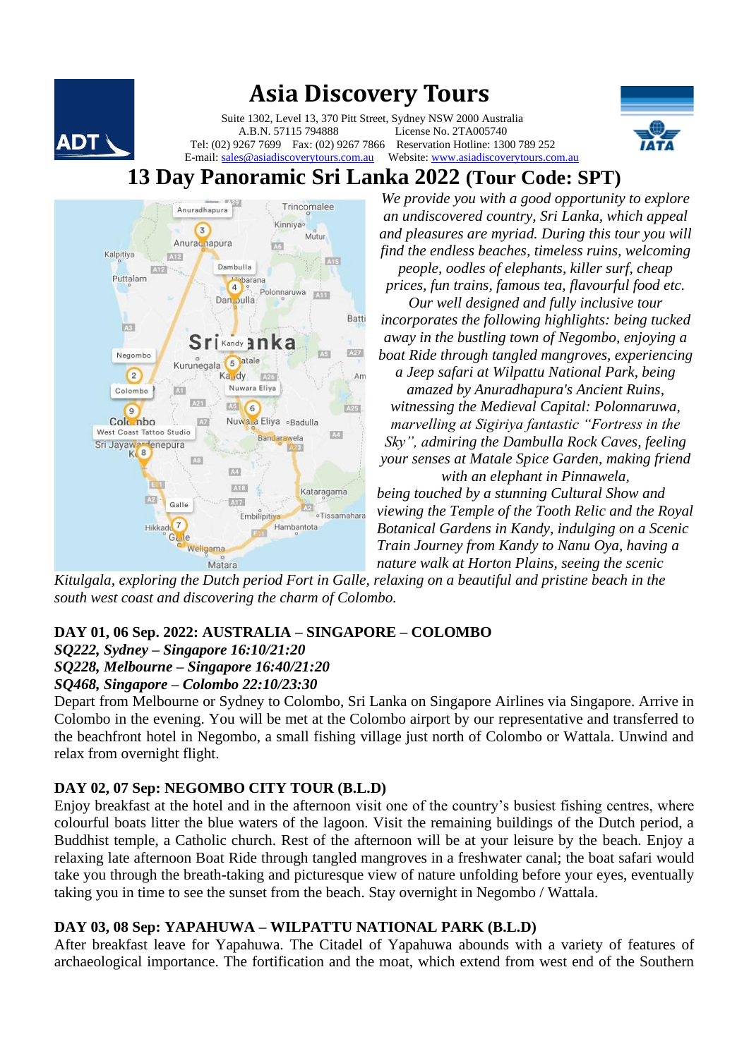

# **Asia Discovery Tours**

 Suite 1302, Level 13, 370 Pitt Street, Sydney NSW 2000 Australia License No. 2TA005740 **DT**<br>Tel: (02) 9267 7699 Fax: (02) 9267 7866 Reservation Hotline: 1300 789 252 E-mail: [sales@asiadiscoverytours.com.au](mailto:sales@asiadiscoverytours.com.au) Website[: www.asiadiscoverytours.com.au](http://www.asiadiscoverytours.com.au/)





*We provide you with a good opportunity to explore an undiscovered country, Sri Lanka, which appeal and pleasures are myriad. During this tour you will find the endless beaches, timeless ruins, welcoming people, oodles of elephants, killer surf, cheap prices, fun trains, famous tea, flavourful food etc. Our well designed and fully inclusive tour incorporates the following highlights: being tucked away in the bustling town of Negombo, enjoying a boat Ride through tangled mangroves, experiencing a Jeep safari at Wilpattu National Park, being amazed by Anuradhapura's Ancient Ruins, witnessing the Medieval Capital: Polonnaruwa, marvelling at Sigiriya fantastic "Fortress in the Sky", admiring the Dambulla Rock Caves, feeling your senses at Matale Spice Garden, making friend with an elephant in Pinnawela, being touched by a stunning Cultural Show and viewing the Temple of the Tooth Relic and the Royal Botanical Gardens in Kandy, indulging on a Scenic Train Journey from Kandy to Nanu Oya, having a nature walk at Horton Plains, seeing the scenic* 

*Kitulgala, exploring the Dutch period Fort in Galle, relaxing on a beautiful and pristine beach in the south west coast and discovering the charm of Colombo.* 

## **DAY 01, 06 Sep. 2022: AUSTRALIA – SINGAPORE – COLOMBO**

*SQ222, Sydney – Singapore 16:10/21:20 SQ228, Melbourne – Singapore 16:40/21:20*

*SQ468, Singapore – Colombo 22:10/23:30*

Depart from Melbourne or Sydney to Colombo, Sri Lanka on Singapore Airlines via Singapore. Arrive in Colombo in the evening. You will be met at the Colombo airport by our representative and transferred to the beachfront hotel in Negombo, a small fishing village just north of Colombo or Wattala. Unwind and relax from overnight flight.

## **DAY 02, 07 Sep: NEGOMBO CITY TOUR (B.L.D)**

Enjoy breakfast at the hotel and in the afternoon visit one of the country's busiest fishing centres, where colourful boats litter the blue waters of the lagoon. Visit the remaining buildings of the Dutch period, a Buddhist temple, a Catholic church. Rest of the afternoon will be at your leisure by the beach. Enjoy a relaxing late afternoon Boat Ride through tangled mangroves in a freshwater canal; the boat safari would take you through the breath-taking and picturesque view of nature unfolding before your eyes, eventually taking you in time to see the sunset from the beach. Stay overnight in Negombo / Wattala.

#### **DAY 03, 08 Sep: YAPAHUWA – WILPATTU NATIONAL PARK (B.L.D)**

After breakfast leave for Yapahuwa. The Citadel of Yapahuwa abounds with a variety of features of archaeological importance. The fortification and the moat, which extend from west end of the Southern

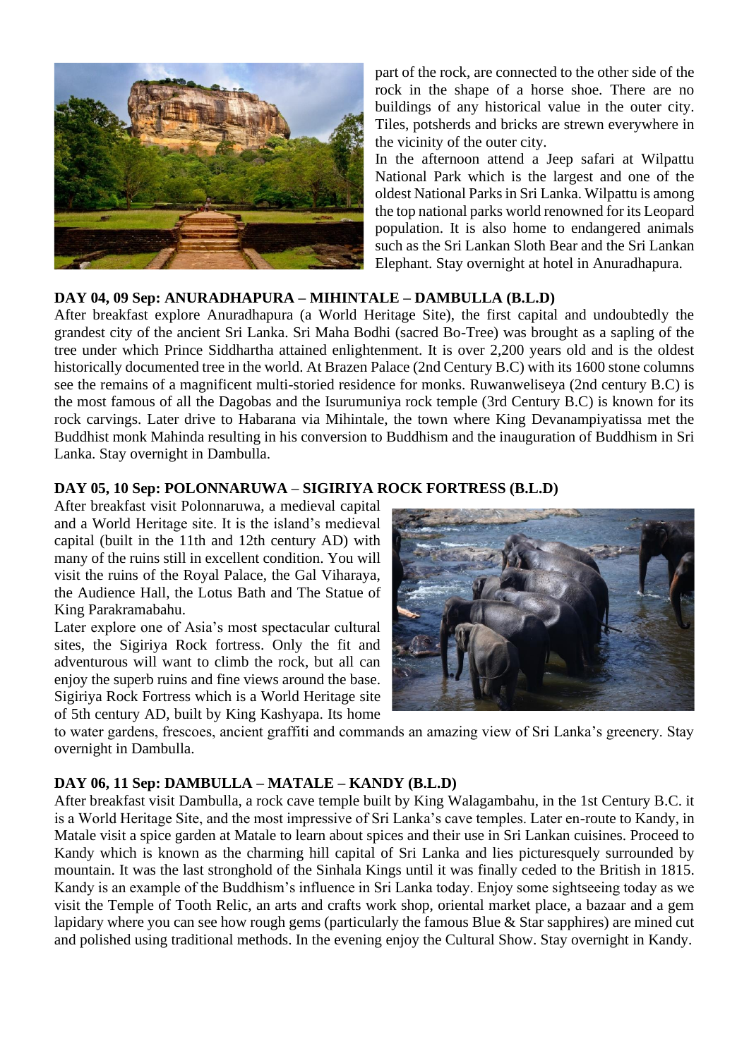

part of the rock, are connected to the other side of the rock in the shape of a horse shoe. There are no buildings of any historical value in the outer city. Tiles, potsherds and bricks are strewn everywhere in the vicinity of the outer city.

In the afternoon attend a Jeep safari at Wilpattu National Park which is the largest and one of the oldest National Parks in Sri Lanka. Wilpattu is among the top national parks world renowned for its Leopard population. It is also home to endangered animals such as the Sri Lankan Sloth Bear and the Sri Lankan Elephant. Stay overnight at hotel in Anuradhapura.

#### **DAY 04, 09 Sep: ANURADHAPURA – MIHINTALE – DAMBULLA (B.L.D)**

After breakfast explore Anuradhapura (a World Heritage Site), the first capital and undoubtedly the grandest city of the ancient Sri Lanka. Sri Maha Bodhi (sacred Bo-Tree) was brought as a sapling of the tree under which Prince Siddhartha attained enlightenment. It is over 2,200 years old and is the oldest historically documented tree in the world. At Brazen Palace (2nd Century B.C) with its 1600 stone columns see the remains of a magnificent multi-storied residence for monks. Ruwanweliseya (2nd century B.C) is the most famous of all the Dagobas and the Isurumuniya rock temple (3rd Century B.C) is known for its rock carvings. Later drive to Habarana via Mihintale, the town where King Devanampiyatissa met the Buddhist monk Mahinda resulting in his conversion to Buddhism and the inauguration of Buddhism in Sri Lanka. Stay overnight in Dambulla.

#### **DAY 05, 10 Sep: POLONNARUWA – SIGIRIYA ROCK FORTRESS (B.L.D)**

After breakfast visit Polonnaruwa, a medieval capital and a World Heritage site. It is the island's medieval capital (built in the 11th and 12th century AD) with many of the ruins still in excellent condition. You will visit the ruins of the Royal Palace, the Gal Viharaya, the Audience Hall, the Lotus Bath and The Statue of King Parakramabahu.

Later explore one of Asia's most spectacular cultural sites, the Sigiriya Rock fortress. Only the fit and adventurous will want to climb the rock, but all can enjoy the superb ruins and fine views around the base. Sigiriya Rock Fortress which is a World Heritage site of 5th century AD, built by King Kashyapa. Its home



to water gardens, frescoes, ancient graffiti and commands an amazing view of Sri Lanka's greenery. Stay overnight in Dambulla.

#### **DAY 06, 11 Sep: DAMBULLA – MATALE – KANDY (B.L.D)**

After breakfast visit Dambulla, a rock cave temple built by King Walagambahu, in the 1st Century B.C. it is a World Heritage Site, and the most impressive of Sri Lanka's cave temples. Later en-route to Kandy, in Matale visit a spice garden at Matale to learn about spices and their use in Sri Lankan cuisines. Proceed to Kandy which is known as the charming hill capital of Sri Lanka and lies picturesquely surrounded by mountain. It was the last stronghold of the Sinhala Kings until it was finally ceded to the British in 1815. Kandy is an example of the Buddhism's influence in Sri Lanka today. Enjoy some sightseeing today as we visit the Temple of Tooth Relic, an arts and crafts work shop, oriental market place, a bazaar and a gem lapidary where you can see how rough gems (particularly the famous Blue & Star sapphires) are mined cut and polished using traditional methods. In the evening enjoy the Cultural Show. Stay overnight in Kandy.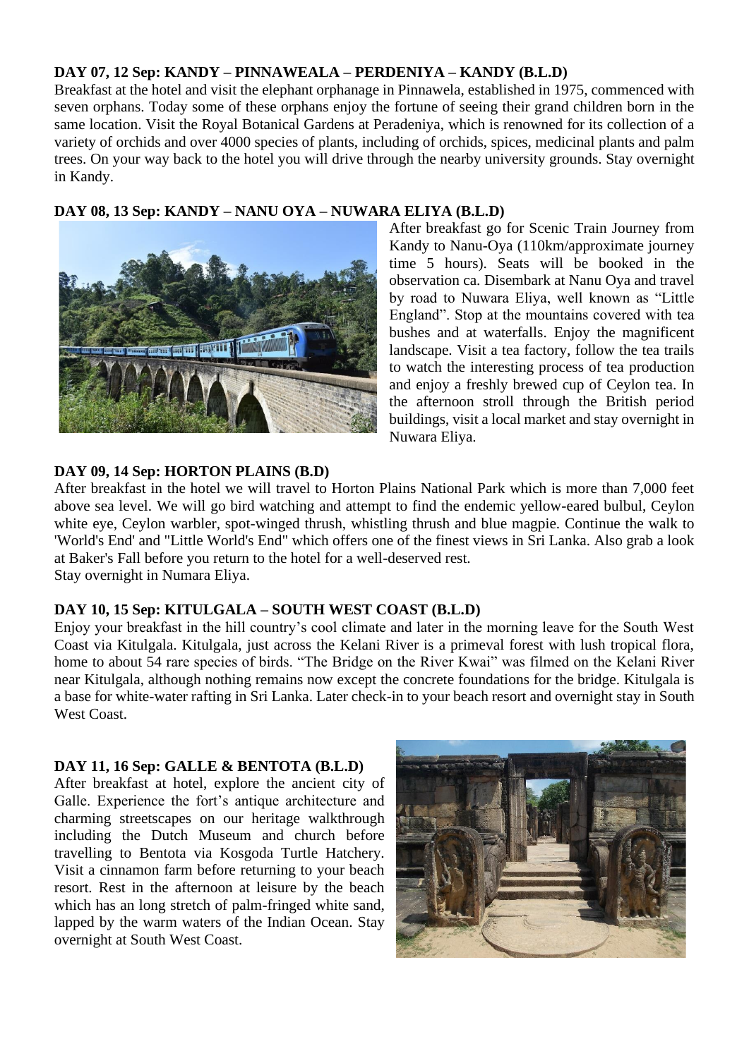### **DAY 07, 12 Sep: KANDY – PINNAWEALA – PERDENIYA – KANDY (B.L.D)**

Breakfast at the hotel and visit the elephant orphanage in Pinnawela, established in 1975, commenced with seven orphans. Today some of these orphans enjoy the fortune of seeing their grand children born in the same location. Visit the Royal Botanical Gardens at Peradeniya, which is renowned for its collection of a variety of orchids and over 4000 species of plants, including of orchids, spices, medicinal plants and palm trees. On your way back to the hotel you will drive through the nearby university grounds. Stay overnight in Kandy.

## **DAY 08, 13 Sep: KANDY – NANU OYA – NUWARA ELIYA (B.L.D)**



After breakfast go for Scenic Train Journey from Kandy to Nanu-Oya (110km/approximate journey time 5 hours). Seats will be booked in the observation ca. Disembark at Nanu Oya and travel by road to Nuwara Eliya, well known as "Little England". Stop at the mountains covered with tea bushes and at waterfalls. Enjoy the magnificent landscape. Visit a tea factory, follow the tea trails to watch the interesting process of tea production and enjoy a freshly brewed cup of Ceylon tea. In the afternoon stroll through the British period buildings, visit a local market and stay overnight in Nuwara Eliya.

#### **DAY 09, 14 Sep: HORTON PLAINS (B.D)**

After breakfast in the hotel we will travel to Horton Plains National Park which is more than 7,000 feet above sea level. We will go bird watching and attempt to find the endemic yellow-eared bulbul, Ceylon white eye, Ceylon warbler, spot-winged thrush, whistling thrush and blue magpie. Continue the walk to 'World's End' and "Little World's End" which offers one of the finest views in Sri Lanka. Also grab a look at Baker's Fall before you return to the hotel for a well-deserved rest. Stay overnight in Numara Eliya.

#### **DAY 10, 15 Sep: KITULGALA – SOUTH WEST COAST (B.L.D)**

Enjoy your breakfast in the hill country's cool climate and later in the morning leave for the South West Coast via Kitulgala. Kitulgala, just across the Kelani River is a primeval forest with lush tropical flora, home to about 54 rare species of birds. "The Bridge on the River Kwai" was filmed on the Kelani River near Kitulgala, although nothing remains now except the concrete foundations for the bridge. Kitulgala is a base for white-water rafting in Sri Lanka. Later check-in to your beach resort and overnight stay in South West Coast

#### **DAY 11, 16 Sep: GALLE & BENTOTA (B.L.D)**

After breakfast at hotel, explore the ancient city of Galle. Experience the fort's antique architecture and charming streetscapes on our heritage walkthrough including the Dutch Museum and church before travelling to Bentota via Kosgoda Turtle Hatchery. Visit a cinnamon farm before returning to your beach resort. Rest in the afternoon at leisure by the beach which has an long stretch of palm-fringed white sand, lapped by the warm waters of the Indian Ocean. Stay overnight at South West Coast.